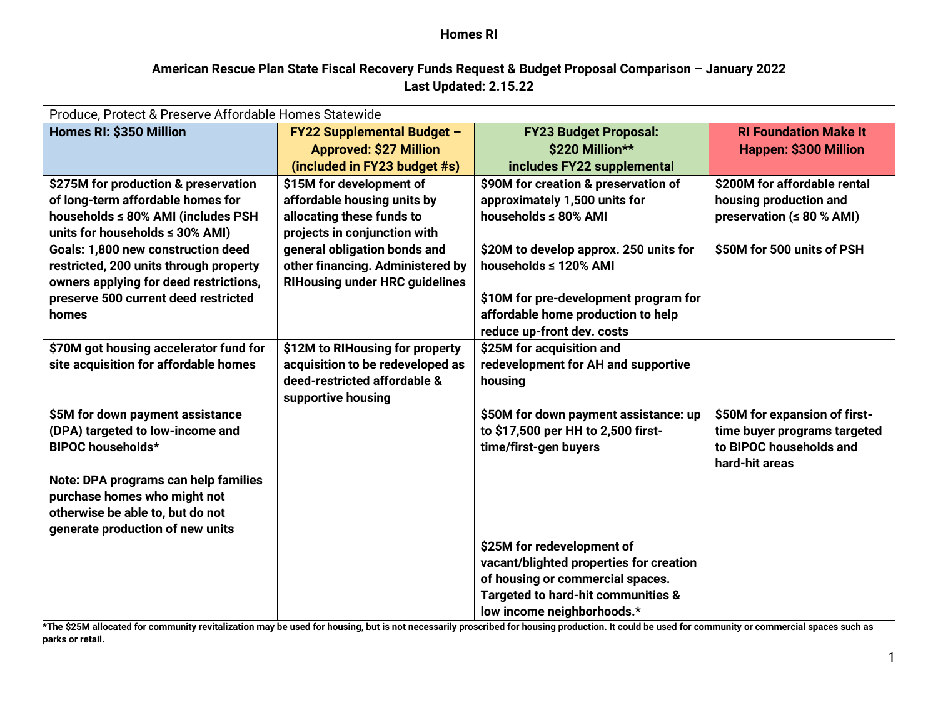### **American Rescue Plan State Fiscal Recovery Funds Request & Budget Proposal Comparison – January 2022 Last Updated: 2.15.22**

| Produce, Protect & Preserve Affordable Homes Statewide                         |                                       |                                         |                                 |  |  |
|--------------------------------------------------------------------------------|---------------------------------------|-----------------------------------------|---------------------------------|--|--|
| Homes RI: \$350 Million                                                        | <b>FY22 Supplemental Budget -</b>     | <b>FY23 Budget Proposal:</b>            | <b>RI Foundation Make It</b>    |  |  |
|                                                                                | <b>Approved: \$27 Million</b>         | \$220 Million**                         | <b>Happen: \$300 Million</b>    |  |  |
|                                                                                | (included in FY23 budget #s)          | includes FY22 supplemental              |                                 |  |  |
| \$275M for production & preservation                                           | \$15M for development of              | \$90M for creation & preservation of    | \$200M for affordable rental    |  |  |
| of long-term affordable homes for                                              | affordable housing units by           | approximately 1,500 units for           | housing production and          |  |  |
| households ≤ 80% AMI (includes PSH                                             | allocating these funds to             | households ≤ 80% AMI                    | preservation ( $\leq 80$ % AMI) |  |  |
| units for households $\leq$ 30% AMI)                                           | projects in conjunction with          |                                         |                                 |  |  |
| Goals: 1,800 new construction deed                                             | general obligation bonds and          | \$20M to develop approx. 250 units for  | \$50M for 500 units of PSH      |  |  |
| restricted, 200 units through property                                         | other financing. Administered by      | households ≤ 120% AMI                   |                                 |  |  |
| owners applying for deed restrictions,<br>preserve 500 current deed restricted | <b>RIHousing under HRC guidelines</b> | \$10M for pre-development program for   |                                 |  |  |
| homes                                                                          |                                       | affordable home production to help      |                                 |  |  |
|                                                                                |                                       | reduce up-front dev. costs              |                                 |  |  |
| \$70M got housing accelerator fund for                                         | \$12M to RIHousing for property       | \$25M for acquisition and               |                                 |  |  |
| site acquisition for affordable homes                                          | acquisition to be redeveloped as      | redevelopment for AH and supportive     |                                 |  |  |
|                                                                                | deed-restricted affordable &          | housing                                 |                                 |  |  |
|                                                                                | supportive housing                    |                                         |                                 |  |  |
| \$5M for down payment assistance                                               |                                       | \$50M for down payment assistance: up   | \$50M for expansion of first-   |  |  |
| (DPA) targeted to low-income and                                               |                                       | to \$17,500 per HH to 2,500 first-      | time buyer programs targeted    |  |  |
| <b>BIPOC households*</b>                                                       |                                       | time/first-gen buyers                   | to BIPOC households and         |  |  |
|                                                                                |                                       |                                         | hard-hit areas                  |  |  |
| Note: DPA programs can help families                                           |                                       |                                         |                                 |  |  |
| purchase homes who might not<br>otherwise be able to, but do not               |                                       |                                         |                                 |  |  |
| generate production of new units                                               |                                       |                                         |                                 |  |  |
|                                                                                |                                       | \$25M for redevelopment of              |                                 |  |  |
|                                                                                |                                       | vacant/blighted properties for creation |                                 |  |  |
|                                                                                |                                       | of housing or commercial spaces.        |                                 |  |  |
|                                                                                |                                       | Targeted to hard-hit communities &      |                                 |  |  |
|                                                                                |                                       | low income neighborhoods.*              |                                 |  |  |

**\*The \$25M allocated for community revitalization may be used for housing, but is not necessarily proscribed for housing production. It could be used for community or commercial spaces such as parks or retail.**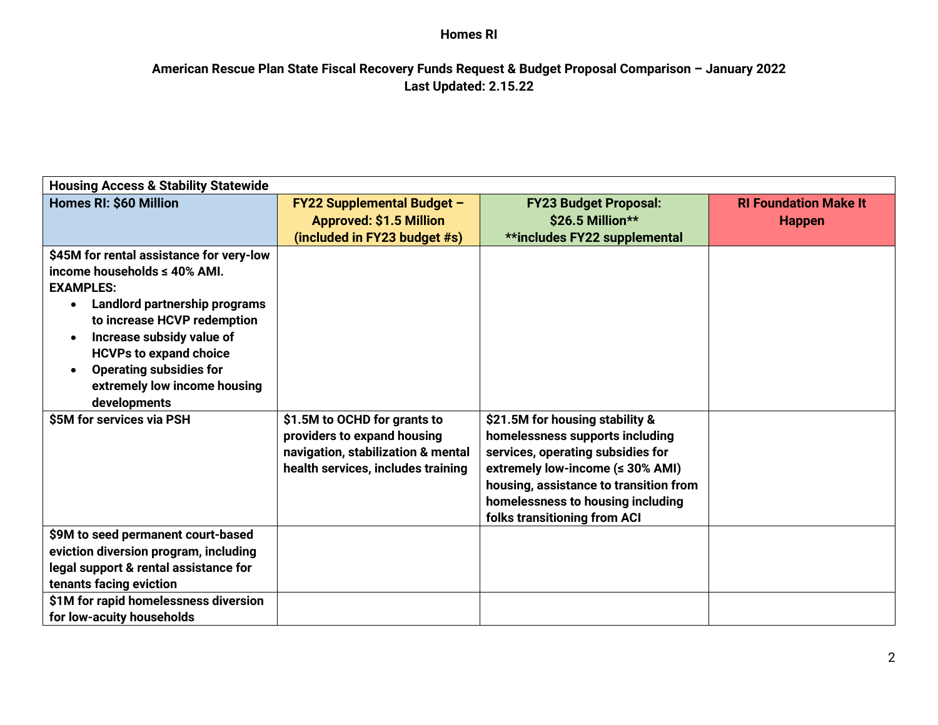# **American Rescue Plan State Fiscal Recovery Funds Request & Budget Proposal Comparison – January 2022 Last Updated: 2.15.22**

| <b>Housing Access &amp; Stability Statewide</b>                                                                                                                                                                                                                                                           |                                                                                                                                         |                                                                                                                                                                                                                                                            |                              |  |  |
|-----------------------------------------------------------------------------------------------------------------------------------------------------------------------------------------------------------------------------------------------------------------------------------------------------------|-----------------------------------------------------------------------------------------------------------------------------------------|------------------------------------------------------------------------------------------------------------------------------------------------------------------------------------------------------------------------------------------------------------|------------------------------|--|--|
| <b>Homes RI: \$60 Million</b>                                                                                                                                                                                                                                                                             | <b>FY22 Supplemental Budget -</b>                                                                                                       | <b>FY23 Budget Proposal:</b>                                                                                                                                                                                                                               | <b>RI Foundation Make It</b> |  |  |
|                                                                                                                                                                                                                                                                                                           | <b>Approved: \$1.5 Million</b>                                                                                                          | \$26.5 Million**                                                                                                                                                                                                                                           | <b>Happen</b>                |  |  |
| \$45M for rental assistance for very-low<br>income households ≤ 40% AMI.<br><b>EXAMPLES:</b><br>Landlord partnership programs<br>$\bullet$<br>to increase HCVP redemption<br>Increase subsidy value of<br><b>HCVPs to expand choice</b><br><b>Operating subsidies for</b><br>extremely low income housing | (included in FY23 budget #s)                                                                                                            | **includes FY22 supplemental                                                                                                                                                                                                                               |                              |  |  |
| developments                                                                                                                                                                                                                                                                                              |                                                                                                                                         |                                                                                                                                                                                                                                                            |                              |  |  |
| \$5M for services via PSH                                                                                                                                                                                                                                                                                 | \$1.5M to OCHD for grants to<br>providers to expand housing<br>navigation, stabilization & mental<br>health services, includes training | \$21.5M for housing stability &<br>homelessness supports including<br>services, operating subsidies for<br>extremely low-income (≤ 30% AMI)<br>housing, assistance to transition from<br>homelessness to housing including<br>folks transitioning from ACI |                              |  |  |
| \$9M to seed permanent court-based                                                                                                                                                                                                                                                                        |                                                                                                                                         |                                                                                                                                                                                                                                                            |                              |  |  |
| eviction diversion program, including<br>legal support & rental assistance for<br>tenants facing eviction                                                                                                                                                                                                 |                                                                                                                                         |                                                                                                                                                                                                                                                            |                              |  |  |
| \$1M for rapid homelessness diversion<br>for low-acuity households                                                                                                                                                                                                                                        |                                                                                                                                         |                                                                                                                                                                                                                                                            |                              |  |  |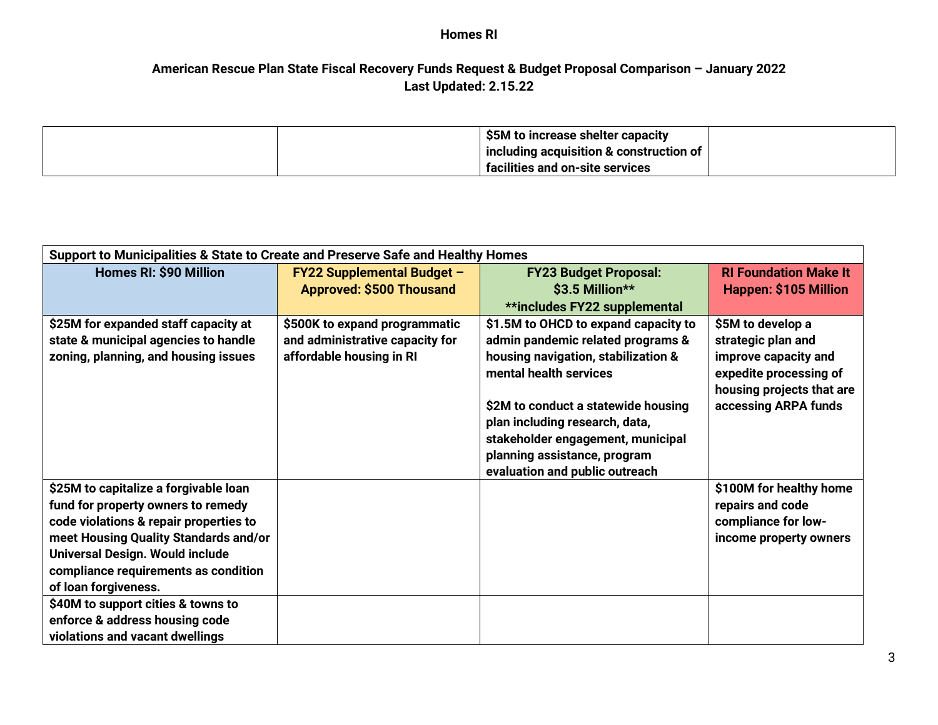## **American Rescue Plan State Fiscal Recovery Funds Request & Budget Proposal Comparison – January 2022 Last Updated: 2.15.22**

|  | \$5M to increase shelter capacity       |  |
|--|-----------------------------------------|--|
|  | including acquisition & construction of |  |
|  | facilities and on-site services         |  |

| Support to Municipalities & State to Create and Preserve Safe and Healthy Homes |                                   |                                      |                              |  |  |
|---------------------------------------------------------------------------------|-----------------------------------|--------------------------------------|------------------------------|--|--|
| Homes RI: \$90 Million                                                          | <b>FY22 Supplemental Budget -</b> | <b>FY23 Budget Proposal:</b>         | <b>RI Foundation Make It</b> |  |  |
|                                                                                 | <b>Approved: \$500 Thousand</b>   | \$3.5 Million**                      | Happen: \$105 Million        |  |  |
|                                                                                 |                                   | **includes FY22 supplemental         |                              |  |  |
| \$25M for expanded staff capacity at                                            | \$500K to expand programmatic     | \$1.5M to OHCD to expand capacity to | \$5M to develop a            |  |  |
| state & municipal agencies to handle                                            | and administrative capacity for   | admin pandemic related programs &    | strategic plan and           |  |  |
| zoning, planning, and housing issues                                            | affordable housing in RI          | housing navigation, stabilization &  | improve capacity and         |  |  |
|                                                                                 |                                   | mental health services               | expedite processing of       |  |  |
|                                                                                 |                                   |                                      | housing projects that are    |  |  |
|                                                                                 |                                   | \$2M to conduct a statewide housing  | accessing ARPA funds         |  |  |
|                                                                                 |                                   | plan including research, data,       |                              |  |  |
|                                                                                 |                                   | stakeholder engagement, municipal    |                              |  |  |
|                                                                                 |                                   | planning assistance, program         |                              |  |  |
|                                                                                 |                                   | evaluation and public outreach       |                              |  |  |
| \$25M to capitalize a forgivable loan                                           |                                   |                                      | \$100M for healthy home      |  |  |
| fund for property owners to remedy                                              |                                   |                                      | repairs and code             |  |  |
| code violations & repair properties to                                          |                                   |                                      | compliance for low-          |  |  |
| meet Housing Quality Standards and/or                                           |                                   |                                      | income property owners       |  |  |
| Universal Design. Would include                                                 |                                   |                                      |                              |  |  |
| compliance requirements as condition                                            |                                   |                                      |                              |  |  |
| of loan forgiveness.                                                            |                                   |                                      |                              |  |  |
| \$40M to support cities & towns to                                              |                                   |                                      |                              |  |  |
| enforce & address housing code                                                  |                                   |                                      |                              |  |  |
| violations and vacant dwellings                                                 |                                   |                                      |                              |  |  |